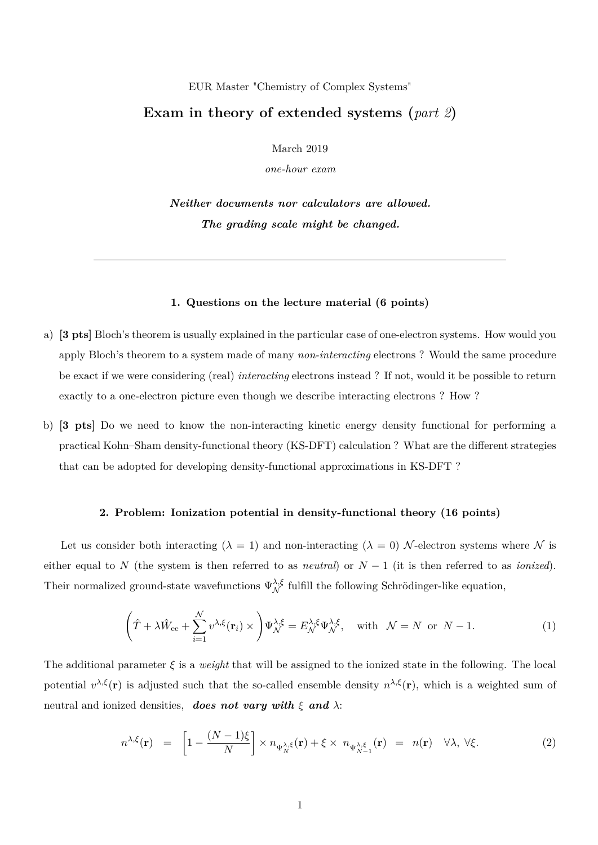## EUR Master "Chemistry of Complex Systems"

## **Exam in theory of extended systems (***part 2***)**

March 2019

*one-hour exam*

*Neither documents nor calculators are allowed. The grading scale might be changed.*

## **1. Questions on the lecture material (6 points)**

- a) **[3 pts]** Bloch's theorem is usually explained in the particular case of one-electron systems. How would you apply Bloch's theorem to a system made of many *non-interacting* electrons ? Would the same procedure be exact if we were considering (real) *interacting* electrons instead ? If not, would it be possible to return exactly to a one-electron picture even though we describe interacting electrons ? How ?
- b) **[3 pts]** Do we need to know the non-interacting kinetic energy density functional for performing a practical Kohn–Sham density-functional theory (KS-DFT) calculation ? What are the different strategies that can be adopted for developing density-functional approximations in KS-DFT ?

## **2. Problem: Ionization potential in density-functional theory (16 points)**

Let us consider both interacting ( $\lambda = 1$ ) and non-interacting ( $\lambda = 0$ ) N-electron systems where N is either equal to *N* (the system is then referred to as *neutral*) or  $N-1$  (it is then referred to as *ionized*). Their normalized ground-state wavefunctions  $\Psi_{\mathcal{N}}^{\lambda,\xi}$  fulfill the following Schrödinger-like equation,

$$
\left(\hat{T} + \lambda \hat{W}_{ee} + \sum_{i=1}^N v^{\lambda,\xi}(\mathbf{r}_i) \times \right) \Psi_{\mathcal{N}}^{\lambda,\xi} = E_{\mathcal{N}}^{\lambda,\xi} \Psi_{\mathcal{N}}^{\lambda,\xi}, \text{ with } \mathcal{N} = N \text{ or } N - 1.
$$
 (1)

The additional parameter *ξ* is a *weight* that will be assigned to the ionized state in the following. The local potential  $v^{\lambda,\xi}(\mathbf{r})$  is adjusted such that the so-called ensemble density  $n^{\lambda,\xi}(\mathbf{r})$ , which is a weighted sum of neutral and ionized densities, *does not vary with ξ and λ*:

$$
n^{\lambda,\xi}(\mathbf{r}) = \left[1 - \frac{(N-1)\xi}{N}\right] \times n_{\Psi_N^{\lambda,\xi}}(\mathbf{r}) + \xi \times n_{\Psi_{N-1}^{\lambda,\xi}}(\mathbf{r}) = n(\mathbf{r}) \quad \forall \lambda, \ \forall \xi. \tag{2}
$$